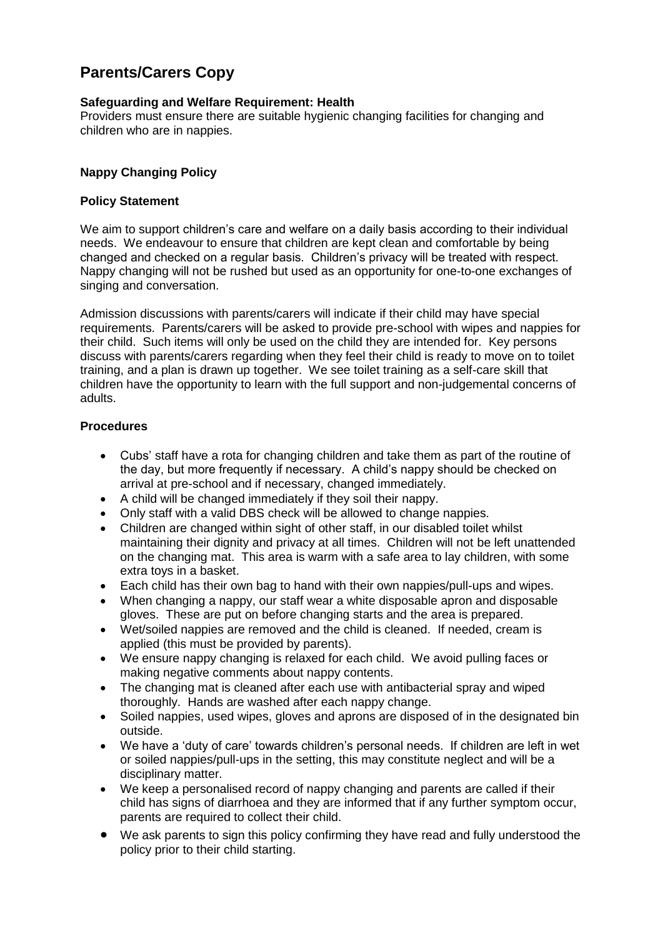# **Parents/Carers Copy**

# **Safeguarding and Welfare Requirement: Health**

Providers must ensure there are suitable hygienic changing facilities for changing and children who are in nappies.

## **Nappy Changing Policy**

#### **Policy Statement**

We aim to support children's care and welfare on a daily basis according to their individual needs. We endeavour to ensure that children are kept clean and comfortable by being changed and checked on a regular basis. Children's privacy will be treated with respect. Nappy changing will not be rushed but used as an opportunity for one-to-one exchanges of singing and conversation.

Admission discussions with parents/carers will indicate if their child may have special requirements. Parents/carers will be asked to provide pre-school with wipes and nappies for their child. Such items will only be used on the child they are intended for. Key persons discuss with parents/carers regarding when they feel their child is ready to move on to toilet training, and a plan is drawn up together. We see toilet training as a self-care skill that children have the opportunity to learn with the full support and non-judgemental concerns of adults.

#### **Procedures**

- Cubs' staff have a rota for changing children and take them as part of the routine of the day, but more frequently if necessary. A child's nappy should be checked on arrival at pre-school and if necessary, changed immediately.
- A child will be changed immediately if they soil their nappy.
- Only staff with a valid DBS check will be allowed to change nappies.
- Children are changed within sight of other staff, in our disabled toilet whilst maintaining their dignity and privacy at all times. Children will not be left unattended on the changing mat. This area is warm with a safe area to lay children, with some extra toys in a basket.
- Each child has their own bag to hand with their own nappies/pull-ups and wipes.
- When changing a nappy, our staff wear a white disposable apron and disposable gloves. These are put on before changing starts and the area is prepared.
- Wet/soiled nappies are removed and the child is cleaned. If needed, cream is applied (this must be provided by parents).
- We ensure nappy changing is relaxed for each child. We avoid pulling faces or making negative comments about nappy contents.
- The changing mat is cleaned after each use with antibacterial spray and wiped thoroughly. Hands are washed after each nappy change.
- Soiled nappies, used wipes, gloves and aprons are disposed of in the designated bin outside.
- We have a 'duty of care' towards children's personal needs. If children are left in wet or soiled nappies/pull-ups in the setting, this may constitute neglect and will be a disciplinary matter.
- We keep a personalised record of nappy changing and parents are called if their child has signs of diarrhoea and they are informed that if any further symptom occur, parents are required to collect their child.
- We ask parents to sign this policy confirming they have read and fully understood the policy prior to their child starting.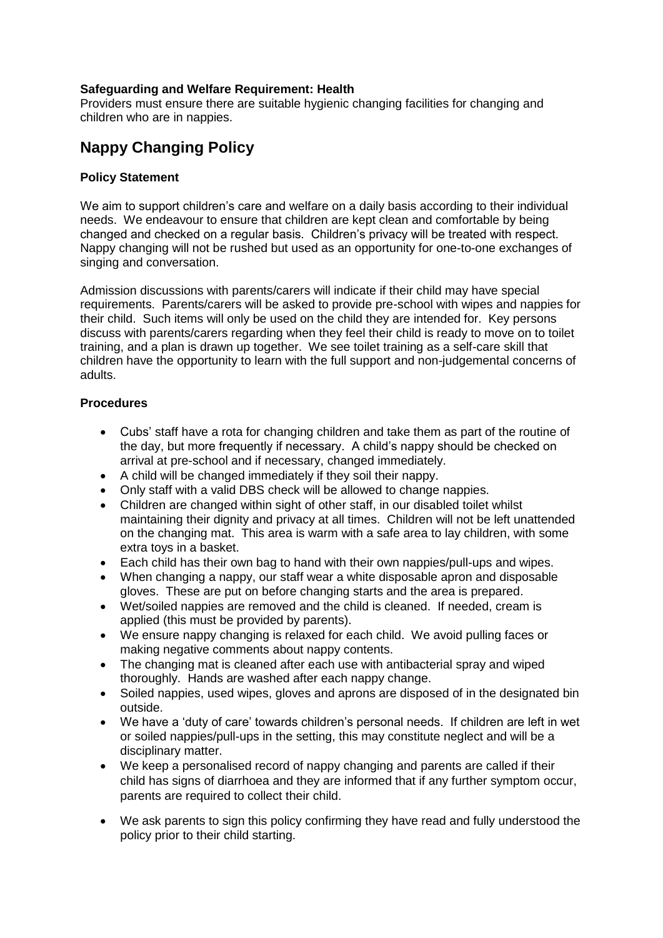# **Safeguarding and Welfare Requirement: Health**

Providers must ensure there are suitable hygienic changing facilities for changing and children who are in nappies.

# **Nappy Changing Policy**

#### **Policy Statement**

We aim to support children's care and welfare on a daily basis according to their individual needs. We endeavour to ensure that children are kept clean and comfortable by being changed and checked on a regular basis. Children's privacy will be treated with respect. Nappy changing will not be rushed but used as an opportunity for one-to-one exchanges of singing and conversation.

Admission discussions with parents/carers will indicate if their child may have special requirements. Parents/carers will be asked to provide pre-school with wipes and nappies for their child. Such items will only be used on the child they are intended for. Key persons discuss with parents/carers regarding when they feel their child is ready to move on to toilet training, and a plan is drawn up together. We see toilet training as a self-care skill that children have the opportunity to learn with the full support and non-judgemental concerns of adults.

# **Procedures**

- Cubs' staff have a rota for changing children and take them as part of the routine of the day, but more frequently if necessary. A child's nappy should be checked on arrival at pre-school and if necessary, changed immediately.
- A child will be changed immediately if they soil their nappy.
- Only staff with a valid DBS check will be allowed to change nappies.
- Children are changed within sight of other staff, in our disabled toilet whilst maintaining their dignity and privacy at all times. Children will not be left unattended on the changing mat. This area is warm with a safe area to lay children, with some extra toys in a basket.
- Each child has their own bag to hand with their own nappies/pull-ups and wipes.
- When changing a nappy, our staff wear a white disposable apron and disposable gloves. These are put on before changing starts and the area is prepared.
- Wet/soiled nappies are removed and the child is cleaned. If needed, cream is applied (this must be provided by parents).
- We ensure nappy changing is relaxed for each child. We avoid pulling faces or making negative comments about nappy contents.
- The changing mat is cleaned after each use with antibacterial spray and wiped thoroughly. Hands are washed after each nappy change.
- Soiled nappies, used wipes, gloves and aprons are disposed of in the designated bin outside.
- We have a 'duty of care' towards children's personal needs. If children are left in wet or soiled nappies/pull-ups in the setting, this may constitute neglect and will be a disciplinary matter.
- We keep a personalised record of nappy changing and parents are called if their child has signs of diarrhoea and they are informed that if any further symptom occur, parents are required to collect their child.
- We ask parents to sign this policy confirming they have read and fully understood the policy prior to their child starting.